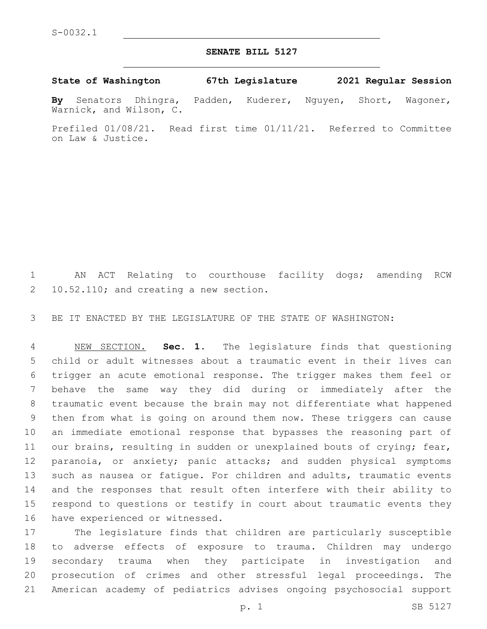## **SENATE BILL 5127**

**State of Washington 67th Legislature 2021 Regular Session**

**By** Senators Dhingra, Padden, Kuderer, Nguyen, Short, Wagoner, Warnick, and Wilson, C.

Prefiled 01/08/21. Read first time 01/11/21. Referred to Committee on Law & Justice.

 AN ACT Relating to courthouse facility dogs; amending RCW 10.52.110; and creating a new section.

BE IT ENACTED BY THE LEGISLATURE OF THE STATE OF WASHINGTON:

 NEW SECTION. **Sec. 1.** The legislature finds that questioning child or adult witnesses about a traumatic event in their lives can trigger an acute emotional response. The trigger makes them feel or behave the same way they did during or immediately after the traumatic event because the brain may not differentiate what happened then from what is going on around them now. These triggers can cause an immediate emotional response that bypasses the reasoning part of 11 our brains, resulting in sudden or unexplained bouts of crying; fear, 12 paranoia, or anxiety; panic attacks; and sudden physical symptoms such as nausea or fatigue. For children and adults, traumatic events and the responses that result often interfere with their ability to respond to questions or testify in court about traumatic events they 16 have experienced or witnessed.

 The legislature finds that children are particularly susceptible to adverse effects of exposure to trauma. Children may undergo secondary trauma when they participate in investigation and prosecution of crimes and other stressful legal proceedings. The American academy of pediatrics advises ongoing psychosocial support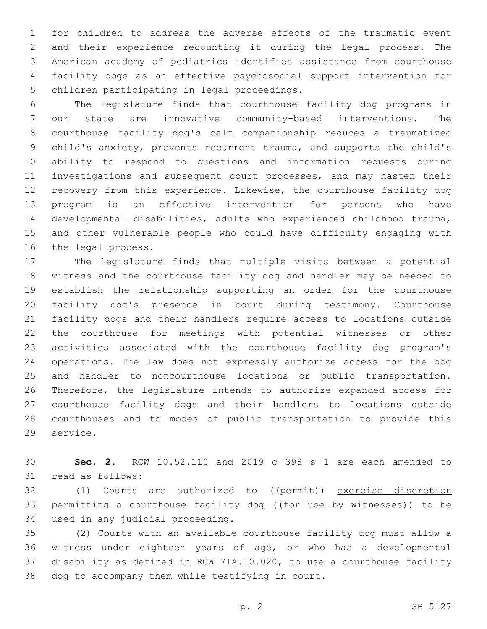for children to address the adverse effects of the traumatic event and their experience recounting it during the legal process. The American academy of pediatrics identifies assistance from courthouse facility dogs as an effective psychosocial support intervention for 5 children participating in legal proceedings.

 The legislature finds that courthouse facility dog programs in our state are innovative community-based interventions. The courthouse facility dog's calm companionship reduces a traumatized child's anxiety, prevents recurrent trauma, and supports the child's ability to respond to questions and information requests during investigations and subsequent court processes, and may hasten their recovery from this experience. Likewise, the courthouse facility dog program is an effective intervention for persons who have developmental disabilities, adults who experienced childhood trauma, and other vulnerable people who could have difficulty engaging with 16 the legal process.

 The legislature finds that multiple visits between a potential witness and the courthouse facility dog and handler may be needed to establish the relationship supporting an order for the courthouse facility dog's presence in court during testimony. Courthouse facility dogs and their handlers require access to locations outside the courthouse for meetings with potential witnesses or other activities associated with the courthouse facility dog program's operations. The law does not expressly authorize access for the dog and handler to noncourthouse locations or public transportation. Therefore, the legislature intends to authorize expanded access for courthouse facility dogs and their handlers to locations outside courthouses and to modes of public transportation to provide this 29 service.

 **Sec. 2.** RCW 10.52.110 and 2019 c 398 s 1 are each amended to 31 read as follows:

32 (1) Courts are authorized to ((permit)) exercise discretion 33 permitting a courthouse facility dog ((for use by witnesses)) to be 34 used in any judicial proceeding.

 (2) Courts with an available courthouse facility dog must allow a witness under eighteen years of age, or who has a developmental disability as defined in RCW 71A.10.020, to use a courthouse facility 38 dog to accompany them while testifying in court.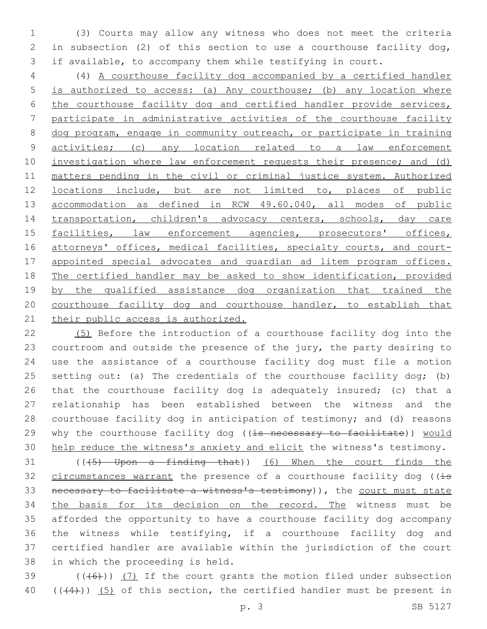(3) Courts may allow any witness who does not meet the criteria in subsection (2) of this section to use a courthouse facility dog, if available, to accompany them while testifying in court.

 (4) A courthouse facility dog accompanied by a certified handler is authorized to access: (a) Any courthouse; (b) any location where the courthouse facility dog and certified handler provide services, participate in administrative activities of the courthouse facility dog program, engage in community outreach, or participate in training activities; (c) any location related to a law enforcement 10 investigation where law enforcement requests their presence; and (d) matters pending in the civil or criminal justice system. Authorized locations include, but are not limited to, places of public accommodation as defined in RCW 49.60.040, all modes of public transportation, children's advocacy centers, schools, day care 15 facilities, law enforcement agencies, prosecutors' offices, 16 attorneys' offices, medical facilities, specialty courts, and court- appointed special advocates and guardian ad litem program offices. The certified handler may be asked to show identification, provided 19 by the qualified assistance dog organization that trained the courthouse facility dog and courthouse handler, to establish that 21 their public access is authorized.

 (5) Before the introduction of a courthouse facility dog into the courtroom and outside the presence of the jury, the party desiring to use the assistance of a courthouse facility dog must file a motion 25 setting out: (a) The credentials of the courthouse facility dog; (b) that the courthouse facility dog is adequately insured; (c) that a relationship has been established between the witness and the courthouse facility dog in anticipation of testimony; and (d) reasons 29 why the courthouse facility dog ((is necessary to facilitate)) would help reduce the witness's anxiety and elicit the witness's testimony.

 (( $(5)$  Upon a finding that)) (6) When the court finds the 32 circumstances warrant the presence of a courthouse facility dog ( $(i\text{-}s)$  necessary to facilitate a witness's testimony)), the court must state the basis for its decision on the record. The witness must be afforded the opportunity to have a courthouse facility dog accompany the witness while testifying, if a courthouse facility dog and certified handler are available within the jurisdiction of the court 38 in which the proceeding is held.

39  $((+6)$ )  $(7)$  If the court grants the motion filed under subsection 40  $((+4))$  (5) of this section, the certified handler must be present in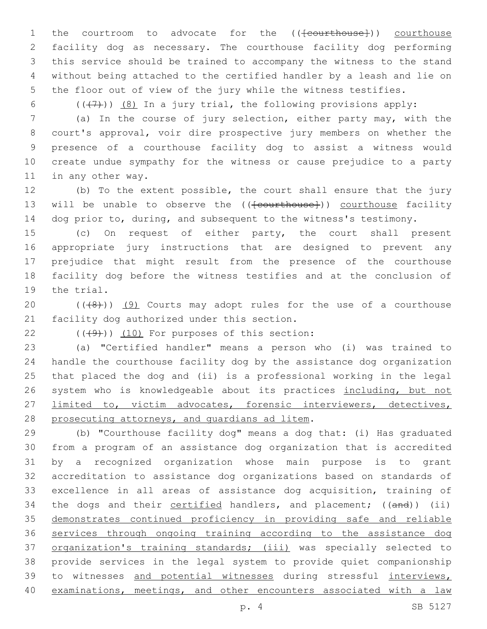1 the courtroom to advocate for the ((<del>[courthouse]</del>)) courthouse facility dog as necessary. The courthouse facility dog performing this service should be trained to accompany the witness to the stand without being attached to the certified handler by a leash and lie on the floor out of view of the jury while the witness testifies.

6  $((+7)$ )  $(8)$  In a jury trial, the following provisions apply:

 (a) In the course of jury selection, either party may, with the court's approval, voir dire prospective jury members on whether the presence of a courthouse facility dog to assist a witness would create undue sympathy for the witness or cause prejudice to a party 11 in any other way.

 (b) To the extent possible, the court shall ensure that the jury 13 will be unable to observe the ((<del>[courthouse]</del>)) courthouse facility 14 dog prior to, during, and subsequent to the witness's testimony.

 (c) On request of either party, the court shall present appropriate jury instructions that are designed to prevent any prejudice that might result from the presence of the courthouse facility dog before the witness testifies and at the conclusion of 19 the trial.

20  $((+8+))$   $(9)$  Courts may adopt rules for the use of a courthouse 21 facility dog authorized under this section.

 $(10)$  (((49))) (10) For purposes of this section:

 (a) "Certified handler" means a person who (i) was trained to handle the courthouse facility dog by the assistance dog organization that placed the dog and (ii) is a professional working in the legal 26 system who is knowledgeable about its practices including, but not limited to, victim advocates, forensic interviewers, detectives, 28 prosecuting attorneys, and quardians ad litem.

 (b) "Courthouse facility dog" means a dog that: (i) Has graduated from a program of an assistance dog organization that is accredited by a recognized organization whose main purpose is to grant accreditation to assistance dog organizations based on standards of excellence in all areas of assistance dog acquisition, training of 34 the dogs and their certified handlers, and placement; ((and)) (ii) demonstrates continued proficiency in providing safe and reliable services through ongoing training according to the assistance dog organization's training standards; (iii) was specially selected to provide services in the legal system to provide quiet companionship 39 to witnesses and potential witnesses during stressful interviews, examinations, meetings, and other encounters associated with a law